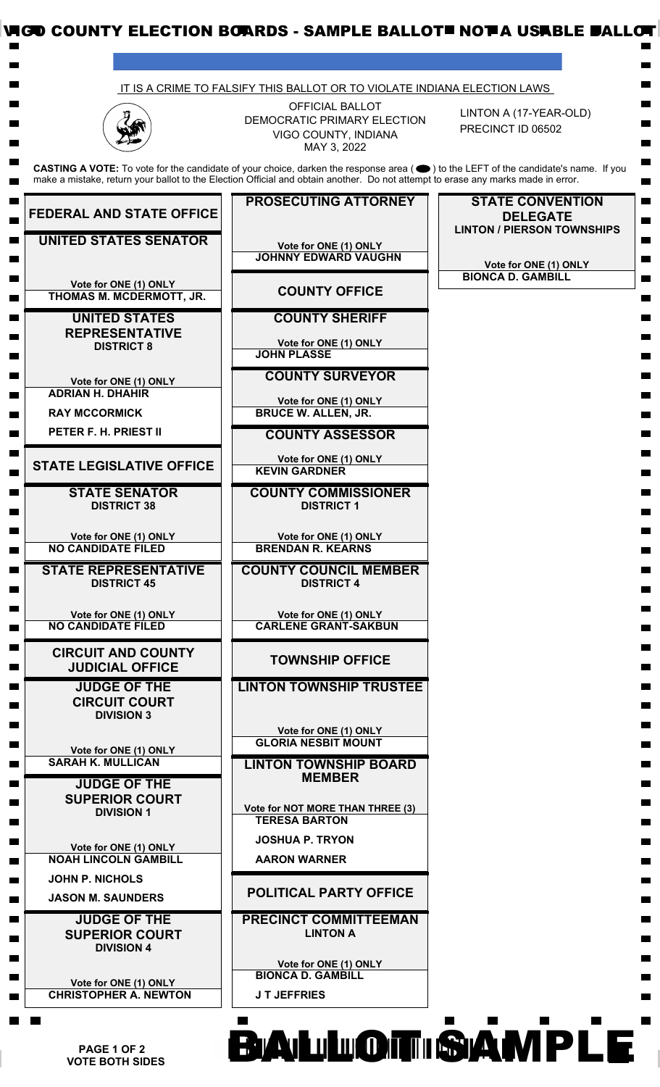